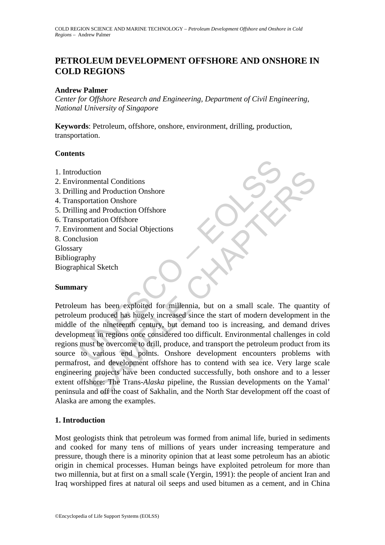# **PETROLEUM DEVELOPMENT OFFSHORE AND ONSHORE IN COLD REGIONS**

#### **Andrew Palmer**

*Center for Offshore Research and Engineering, Department of Civil Engineering, National University of Singapore* 

**Keywords**: Petroleum, offshore, onshore, environment, drilling, production, transportation.

### **Contents**

- 1. Introduction
- 2. Environmental Conditions
- 3. Drilling and Production Onshore
- 4. Transportation Onshore
- 5. Drilling and Production Offshore
- 6. Transportation Offshore
- 7. Environment and Social Objections
- 8. Conclusion
- **Glossary**
- Bibliography
- Biographical Sketch

### **Summary**

duction<br>
mental Conditions<br>
mentation Onshore<br>
mentation Onshore<br>
mental Production Offshore<br>
sportation Offshore<br>
portation Offshore<br>
conment and Social Objections<br>
were<br>
ury<br>
wm has been exploited for millennia, but on a tion<br>
and Production Onshore<br>
and Production Offshore<br>
and Production Offshore<br>
ment and Social Objections<br>
by<br>
hy<br>
al Sketch<br>
by<br>
al Sketch<br>
by<br>
al Sketch<br>
considered for millennia, but on a small scale. The quantity<br>
pro Petroleum has been exploited for millennia, but on a small scale. The quantity of petroleum produced has hugely increased since the start of modern development in the middle of the nineteenth century, but demand too is increasing, and demand drives development in regions once considered too difficult. Environmental challenges in cold regions must be overcome to drill, produce, and transport the petroleum product from its source to various end points. Onshore development encounters problems with permafrost, and development offshore has to contend with sea ice. Very large scale engineering projects have been conducted successfully, both onshore and to a lesser extent offshore: The Trans*-Alaska* pipeline, the Russian developments on the Yamal' peninsula and off the coast of Sakhalin, and the North Star development off the coast of Alaska are among the examples.

### **1. Introduction**

Most geologists think that petroleum was formed from animal life, buried in sediments and cooked for many tens of millions of years under increasing temperature and pressure, though there is a minority opinion that at least some petroleum has an abiotic origin in chemical processes. Human beings have exploited petroleum for more than two millennia, but at first on a small scale (Yergin, 1991): the people of ancient Iran and Iraq worshipped fires at natural oil seeps and used bitumen as a cement, and in China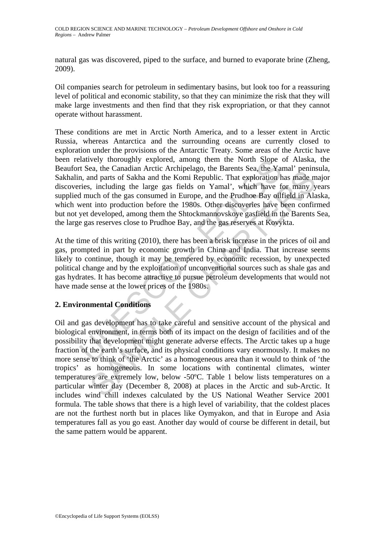natural gas was discovered, piped to the surface, and burned to evaporate brine (Zheng, 2009).

Oil companies search for petroleum in sedimentary basins, but look too for a reassuring level of political and economic stability, so that they can minimize the risk that they will make large investments and then find that they risk expropriation, or that they cannot operate without harassment.

and Architect Architect Architect Architect Sea, the Same to the Architect Sea the Canadian Arctic Architect Architect Architect Architect Architect Architect Architect Architect Architect and parts, including the large ga These conditions are met in Arctic North America, and to a lesser extent in Arctic Russia, whereas Antarctica and the surrounding oceans are currently closed to exploration under the provisions of the Antarctic Treaty. Some areas of the Arctic have been relatively thoroughly explored, among them the North Slope of Alaska, the Beaufort Sea, the Canadian Arctic Archipelago, the Barents Sea, the Yamal' peninsula, Sakhalin, and parts of Sakha and the Komi Republic. That exploration has made major discoveries, including the large gas fields on Yamal', which have for many years supplied much of the gas consumed in Europe, and the Prudhoe Bay oilfield in Alaska, which went into production before the 1980s. Other discoveries have been confirmed but not yet developed, among them the Shtockmannovskoye gasfield in the Barents Sea, the large gas reserves close to Prudhoe Bay, and the gas reserves at Kovykta.

At the time of this writing (2010), there has been a brisk increase in the prices of oil and gas, prompted in part by economic growth in China and India. That increase seems likely to continue, though it may be tempered by economic recession, by unexpected political change and by the exploitation of unconventional sources such as shale gas and gas hydrates. It has become attractive to pursue petroleum developments that would not have made sense at the lower prices of the 1980s.

## **2. Environmental Conditions**

are, the Candian Artice Atternation appears the Datents Sea, the Taimar permission, and pears of Sakha and the Komi Republic. That exploration has made m<br>s, including the large gas fields on Yamal', which have for many y<br>u Oil and gas development has to take careful and sensitive account of the physical and biological environment, in terms both of its impact on the design of facilities and of the possibility that development might generate adverse effects. The Arctic takes up a huge fraction of the earth's surface, and its physical conditions vary enormously. It makes no more sense to think of 'the Arctic' as a homogeneous area than it would to think of 'the tropics' as homogeneous. In some locations with continental climates, winter temperatures are extremely low, below -50ºC. Table 1 below lists temperatures on a particular winter day (December 8, 2008) at places in the Arctic and sub-Arctic. It includes wind chill indexes calculated by the US National Weather Service 2001 formula. The table shows that there is a high level of variability, that the coldest places are not the furthest north but in places like Oymyakon, and that in Europe and Asia temperatures fall as you go east. Another day would of course be different in detail, but the same pattern would be apparent.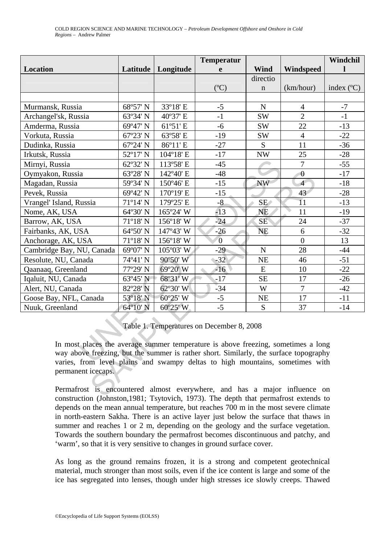|                                                                                                                                                                                                                                                                                                                                                                                                             |          |           | <b>Temperatur</b> |             |                  | Windchil            |
|-------------------------------------------------------------------------------------------------------------------------------------------------------------------------------------------------------------------------------------------------------------------------------------------------------------------------------------------------------------------------------------------------------------|----------|-----------|-------------------|-------------|------------------|---------------------|
| Location                                                                                                                                                                                                                                                                                                                                                                                                    | Latitude | Longitude | e                 | <b>Wind</b> | Windspeed        |                     |
|                                                                                                                                                                                                                                                                                                                                                                                                             |          |           |                   | directio    |                  |                     |
|                                                                                                                                                                                                                                                                                                                                                                                                             |          |           | (C)               | $\mathbf n$ | (km/hour)        | index $(^{\circ}C)$ |
|                                                                                                                                                                                                                                                                                                                                                                                                             |          |           |                   |             |                  |                     |
| Murmansk, Russia                                                                                                                                                                                                                                                                                                                                                                                            | 68°57' N | 33°18' E  | $-5$              | $\mathbf N$ | $\overline{4}$   | $-7$                |
| Archangel'sk, Russia                                                                                                                                                                                                                                                                                                                                                                                        | 63°34' N | 40°37' E  | $-1$              | <b>SW</b>   | $\overline{2}$   | $-1$                |
| Amderma, Russia                                                                                                                                                                                                                                                                                                                                                                                             | 69°47' N | 61°51' E  | $-6$              | <b>SW</b>   | 22               | $-13$               |
| Vorkuta, Russia                                                                                                                                                                                                                                                                                                                                                                                             | 67°23' N | 63°58' E  | $-19$             | <b>SW</b>   | $\overline{4}$   | $-22$               |
| Dudinka, Russia                                                                                                                                                                                                                                                                                                                                                                                             | 67°24' N | 86°11' E  | $-27$             | S           | 11               | $-36$               |
| Irkutsk, Russia                                                                                                                                                                                                                                                                                                                                                                                             | 52°17' N | 104°18' E | $-17$             | <b>NW</b>   | 25               | $-28$               |
| Mirnyi, Russia                                                                                                                                                                                                                                                                                                                                                                                              | 62°32' N | 113°58' E | $-45$             |             | $\overline{7}$   | $-55$               |
| Oymyakon, Russia                                                                                                                                                                                                                                                                                                                                                                                            | 63°28' N | 142°40' E | $-48$             |             | $\mathbf{0}$     | $-17$               |
| Magadan, Russia                                                                                                                                                                                                                                                                                                                                                                                             | 59°34' N | 150°46' E | $-15$             | <b>NW</b>   | $\overline{4}$   | $-18$               |
| Pevek, Russia                                                                                                                                                                                                                                                                                                                                                                                               | 69°42' N | 170°19' E | $-15$             |             | 43               | $-28$               |
| Vrangel' Island, Russia                                                                                                                                                                                                                                                                                                                                                                                     | 71°14' N | 179°25' E | $-8$              | SE/         | 11               | $-13$               |
| Nome, AK, USA                                                                                                                                                                                                                                                                                                                                                                                               | 64°30' N | 165°24' W | $-13$             | <b>NE</b>   | 11               | $-19$               |
| Barrow, AK, USA                                                                                                                                                                                                                                                                                                                                                                                             | 71°18' N | 156°18′ W | $-24$             | <b>SE</b>   | 24               | $-37$               |
| Fairbanks, AK, USA                                                                                                                                                                                                                                                                                                                                                                                          | 64°50' N | 147°43' W | $-26$             | <b>NE</b>   | 6                | $-32$               |
| Anchorage, AK, USA                                                                                                                                                                                                                                                                                                                                                                                          | 71°18' N | 156°18' W | $\overline{0}$    |             | $\boldsymbol{0}$ | 13                  |
| Cambridge Bay, NU, Canada                                                                                                                                                                                                                                                                                                                                                                                   | 69°07' N | 105°03' W | $-29$             | $\mathbf N$ | 28               | $-44$               |
| Resolute, NU, Canada                                                                                                                                                                                                                                                                                                                                                                                        | 74°41' N | 90°50' W  | $-32$             | NE          | 46               | $-51$               |
| Qaanaaq, Greenland                                                                                                                                                                                                                                                                                                                                                                                          | 77°29' N | 69°20' W  | $-16$             | ${\bf E}$   | 10               | $-22$               |
| Iqaluit, NU, Canada                                                                                                                                                                                                                                                                                                                                                                                         | 63°45' N | 68°31'W   | $-17$             | <b>SE</b>   | 17               | $-26$               |
| Alert, NU, Canada                                                                                                                                                                                                                                                                                                                                                                                           | 82°28' N | 62°30' W  | $-34$             | W           | $\overline{7}$   | $-42$               |
| Goose Bay, NFL, Canada                                                                                                                                                                                                                                                                                                                                                                                      | 53°18' N | 60°25' W  | $-5$              | <b>NE</b>   | 17               | $-11$               |
| Nuuk, Greenland                                                                                                                                                                                                                                                                                                                                                                                             | 64°10' N | 60°25' W  | $-5$              | S           | 37               | $-14$               |
| Table 1. Temperatures on December 8, 2008<br>In most places the average summer temperature is above freezing, sometimes a long<br>way above freezing, but the summer is rather short. Similarly, the surface topography<br>varies, from level plains and swampy deltas to high mountains, sometimes with<br>permanent icecaps.<br>Permafrost is encountered almost everywhere, and has a major influence on |          |           |                   |             |                  |                     |

Table 1. Temperatures on December 8, 2008

Permafrost is encountered almost everywhere, and has a major influence on construction (Johnston,1981; Tsytovich, 1973). The depth that permafrost extends to depends on the mean annual temperature, but reaches 700 m in the most severe climate in north-eastern Sakha. There is an active layer just below the surface that thaws in summer and reaches 1 or 2 m, depending on the geology and the surface vegetation. Towards the southern boundary the permafrost becomes discontinuous and patchy, and 'warm', so that it is very sensitive to changes in ground surface cover.

As long as the ground remains frozen, it is a strong and competent geotechnical material, much stronger than most soils, even if the ice content is large and some of the ice has segregated into lenses, though under high stresses ice slowly creeps. Thawed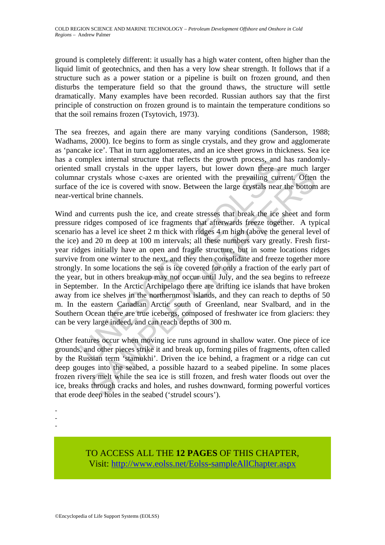ground is completely different: it usually has a high water content, often higher than the liquid limit of geotechnics, and then has a very low shear strength. It follows that if a structure such as a power station or a pipeline is built on frozen ground, and then disturbs the temperature field so that the ground thaws, the structure will settle dramatically. Many examples have been recorded. Russian authors say that the first principle of construction on frozen ground is to maintain the temperature conditions so that the soil remains frozen (Tsytovich, 1973).

The sea freezes, and again there are many varying conditions (Sanderson, 1988; Wadhams, 2000). Ice begins to form as single crystals, and they grow and agglomerate as 'pancake ice'. That in turn agglomerates, and an ice sheet grows in thickness. Sea ice has a complex internal structure that reflects the growth process, and has randomlyoriented small crystals in the upper layers, but lower down there are much larger columnar crystals whose c-axes are oriented with the prevailing current. Often the surface of the ice is covered with snow. Between the large crystals near the bottom are near-vertical brine channels.

omplex internal structure that reflects the growth process, and<br>I small crystals in the upper layers, but lower down there are<br>are crystals whose c-axes are oriented with the prevailing curr<br>of the ice is covered with snow man exposes in the opper laggest has the come is owner come that are the care that is an expected with snow. Between the large crystals shose c-axes are oriented with the prevailing current. Often the ice is covered with s Wind and currents push the ice, and create stresses that break the ice sheet and form pressure ridges composed of ice fragments that afterwards freeze together. A typical scenario has a level ice sheet 2 m thick with ridges 4 m high (above the general level of the ice) and 20 m deep at 100 m intervals; all these numbers vary greatly. Fresh firstyear ridges initially have an open and fragile structure, but in some locations ridges survive from one winter to the next, and they then consolidate and freeze together more strongly. In some locations the sea is ice covered for only a fraction of the early part of the year, but in others breakup may not occur until July, and the sea begins to refreeze in September. In the Arctic Archipelago there are drifting ice islands that have broken away from ice shelves in the northernmost islands, and they can reach to depths of 50 m. In the eastern Canadian Arctic south of Greenland, near Svalbard, and in the Southern Ocean there are true icebergs, composed of freshwater ice from glaciers: they can be very large indeed, and can reach depths of 300 m.

Other features occur when moving ice runs aground in shallow water. One piece of ice grounds, and other pieces strike it and break up, forming piles of fragments, often called by the Russian term 'stamukhi'. Driven the ice behind, a fragment or a ridge can cut deep gouges into the seabed, a possible hazard to a seabed pipeline. In some places frozen rivers melt while the sea ice is still frozen, and fresh water floods out over the ice, breaks through cracks and holes, and rushes downward, forming powerful vortices that erode deep holes in the seabed ('strudel scours').

- -
- -

TO ACCESS ALL THE **12 PAGES** OF THIS CHAPTER, Visit[: http://www.eolss.net/Eolss-sampleAllChapter.aspx](https://www.eolss.net/ebooklib/sc_cart.aspx?File=E6-178-14-00)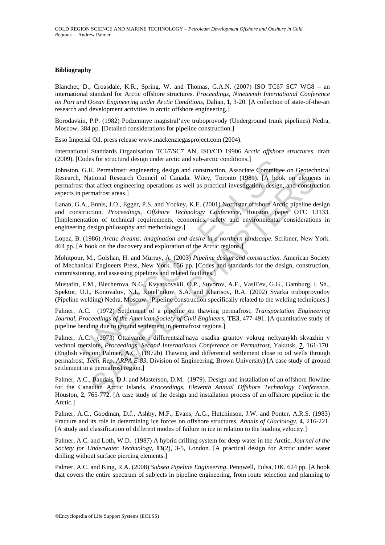#### **Bibliography**

Blanchet, D., Croasdale, K.R., Spring, W. and Thomas, G.A.N. (2007) ISO TC67 SC7 WG8 – an international standard for Arctic offshore structures. *Proceedings, Nineteenth International Conference on Port and Ocean Engineering under Arctic Conditions*, Dalian, **1**, 3-20. [A collection of state-of-the-art research and development activities in arctic offshore engineering.]

Borodavkin, P.P. (1982) Podzemnye magistral'nye truboprovody (Underground trunk pipelines) Nedra, Moscow, 384 pp. [Detailed considerations for pipeline construction.]

Esso Imperial Oil. press release www.mackenziegasproject.com (2004).

International Standards Organisation TC67/SC7 AN, ISO/CD 19906 *Arctic offshore structures*, draft (2009). [Codes for structural design under arctic and sub-arctic conditions.]

Codes for structural design under arctic and sub-arctic conditions.]<br>
G.H. Permafrost: eigneering design and construction, Associate Committee<br>
N. National Research Council of Canada. Wiley, Toroto (1981). [A bool<br>
st that Johnston, G.H. Permafrost: engineering design and construction, Associate Committee on Geotechnical Research, National Research Council of Canada. Wiley, Toronto (1981). [A book on elements in permafrost that affect engineering operations as well as practical investigation, design, and construction aspects in permafrost areas.]

Lanan, G.A., Ennis, J.O., Egger, P.S. and Yockey, K.E. (2001) Northstar offshore Arctic pipeline design and construction. *Proceedings, Offshore Technology Conference*, Houston, paper OTC 13133. [Implementation of technical requirements, economics, safety and environmental considerations in engineering design philosophy and methodology.]

Lopez, B. (1986) *Arctic dreams: imagination and desire in a northern landscape*. Scribner, New York. 464 pp. [A book on the discovery and exploration of the Arctic regions.]

Mohitpour, M., Golshan, H. and Murray, A. (2003) *Pipeline design and construction.* American Society of Mechanical Engineers Press, New York. 656 pp. [Codes and standards for the design, construction, commissioning, and assessing pipelines and related facilities.]

Mustafin, F.M., Blecherova, N.G., Kvyatkovskii, O.P., Suvorov, A.F., Vasil'ev, G.G., Gamburg, I. Sh., Spektor, U.I., Konovalov, N.I., Kotel'nikov, S.A. and Kharisov, R.A. (2002) Svarka truboprovodov (Pipeline welding) Nedra, Moscow. [Pipeline construction specifically related to the welding techniques.]

Palmer, A.C. (1972) Settlement of a pipeline on thawing permafrost, *Transportation Engineering Journal, Proceedings of the American Society of Civil Engineers*, **TE3**, 477-491. [A quantitative study of pipeline bending due to ground settlement in permafrost regions.]

H. Permattrost: enginering design and consituetion, Associate Committee on Geodechranta, Baradia Nicky, Toronto (1981). [A book on element<br>at affect engineering operations as well as practical investigation, design, and c Palmer, A.C. (1973) Ottaivanie i differentsial'naya osadka gruntov vokrug neftyanykh skvazhin v vechnoi merzlote, *Proceedings, Second International Conference on Permafrost*, Yakutsk, **7**, 161-170. (English version: Palmer, A.C. (1972b) Thawing and differential settlement close to oil wells through permafrost, *Tech. Rep. ARPA E-83*, Division of Engineering, Brown University).[A case study of ground settlement in a permafrost region.]

Palmer, A.C., Baudais, D.J. and Masterson, D.M. (1979). Design and installation of an offshore flowline for the Canadian Arctic Islands, *Proceedings, Eleventh Annual Offshore Technology Conference*, Houston, **2**, 765-772. [A case study of the design and installation process of an offshore pipeline in the Arctic.]

Palmer, A.C., Goodman, D.J., Ashby, M.F., Evans, A.G., Hutchinson, J.W. and Ponter, A.R.S. (1983) Fracture and its role in determining ice forces on offshore structures, *Annals of Glaciology*, **4**, 216-221. [A study and classification of different modes of failure in ice in relation to the loading velocity.]

Palmer, A.C. and Loth, W.D. (1987) A hybrid drilling system for deep water in the Arctic, *Journal of the Society for Underwater Technology*, **13**(2), 3-5, London. [A practical design for Arctic under water drilling without surface piercing elements.]

Palmer, A.C. and King, R.A. (2008) *Subsea Pipeline Engineering*. Pennwell, Tulsa, OK. 624 pp. [A book that covers the entire spectrum of subjects in pipeline engineering, from route selection and planning to